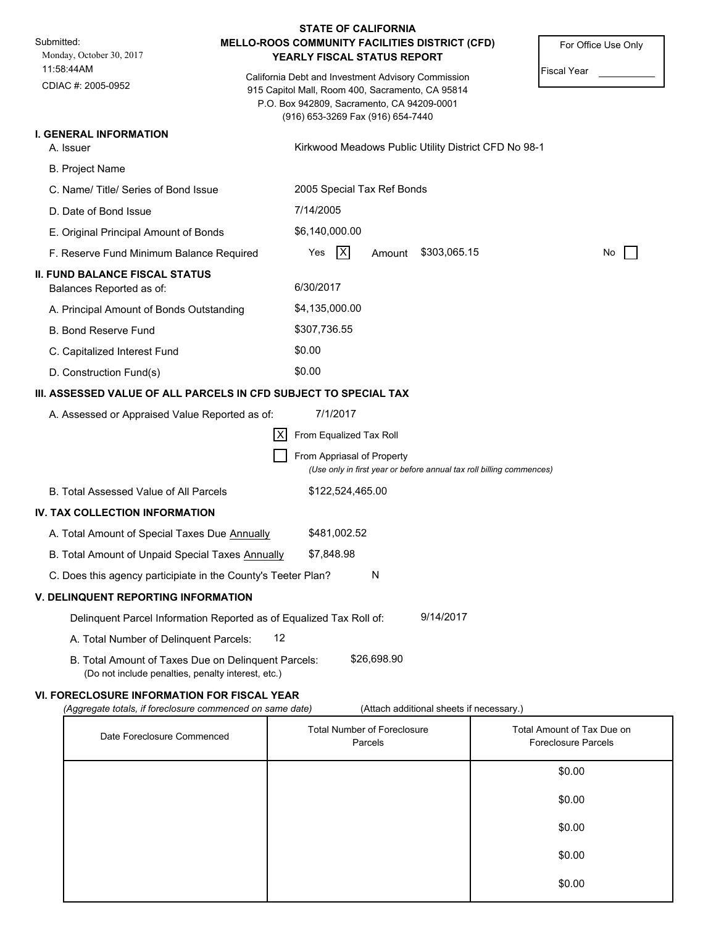| <b>STATE OF CALIFORNIA</b>                                                                                |                                                    |                                                                               |                                                                                                |                                   |                                                                      |     |  |  |
|-----------------------------------------------------------------------------------------------------------|----------------------------------------------------|-------------------------------------------------------------------------------|------------------------------------------------------------------------------------------------|-----------------------------------|----------------------------------------------------------------------|-----|--|--|
| Submitted:<br>Monday, October 30, 2017                                                                    |                                                    | MELLO-ROOS COMMUNITY FACILITIES DISTRICT (CFD)<br>YEARLY FISCAL STATUS REPORT |                                                                                                |                                   | For Office Use Only                                                  |     |  |  |
| 11:58:44AM                                                                                                | California Debt and Investment Advisory Commission |                                                                               |                                                                                                | <b>Fiscal Year</b>                |                                                                      |     |  |  |
| CDIAC #: 2005-0952                                                                                        |                                                    |                                                                               | 915 Capitol Mall, Room 400, Sacramento, CA 95814<br>P.O. Box 942809, Sacramento, CA 94209-0001 |                                   |                                                                      |     |  |  |
|                                                                                                           |                                                    |                                                                               |                                                                                                | (916) 653-3269 Fax (916) 654-7440 |                                                                      |     |  |  |
| <b>I. GENERAL INFORMATION</b><br>A. Issuer                                                                |                                                    |                                                                               |                                                                                                |                                   | Kirkwood Meadows Public Utility District CFD No 98-1                 |     |  |  |
| <b>B. Project Name</b>                                                                                    |                                                    |                                                                               |                                                                                                |                                   |                                                                      |     |  |  |
| C. Name/Title/Series of Bond Issue                                                                        |                                                    |                                                                               |                                                                                                |                                   |                                                                      |     |  |  |
| D. Date of Bond Issue                                                                                     |                                                    | 2005 Special Tax Ref Bonds<br>7/14/2005                                       |                                                                                                |                                   |                                                                      |     |  |  |
| E. Original Principal Amount of Bonds                                                                     |                                                    | \$6,140,000.00                                                                |                                                                                                |                                   |                                                                      |     |  |  |
| F. Reserve Fund Minimum Balance Required                                                                  |                                                    | Yes                                                                           | X                                                                                              | Amount                            | \$303,065.15                                                         | No. |  |  |
| <b>II. FUND BALANCE FISCAL STATUS</b>                                                                     |                                                    |                                                                               |                                                                                                |                                   |                                                                      |     |  |  |
| Balances Reported as of:                                                                                  |                                                    | 6/30/2017                                                                     |                                                                                                |                                   |                                                                      |     |  |  |
| A. Principal Amount of Bonds Outstanding                                                                  |                                                    | \$4,135,000.00                                                                |                                                                                                |                                   |                                                                      |     |  |  |
| <b>B. Bond Reserve Fund</b>                                                                               |                                                    | \$307,736.55                                                                  |                                                                                                |                                   |                                                                      |     |  |  |
| C. Capitalized Interest Fund                                                                              |                                                    | \$0.00                                                                        |                                                                                                |                                   |                                                                      |     |  |  |
| D. Construction Fund(s)                                                                                   |                                                    | \$0.00                                                                        |                                                                                                |                                   |                                                                      |     |  |  |
| III. ASSESSED VALUE OF ALL PARCELS IN CFD SUBJECT TO SPECIAL TAX                                          |                                                    |                                                                               |                                                                                                |                                   |                                                                      |     |  |  |
| A. Assessed or Appraised Value Reported as of:                                                            |                                                    |                                                                               | 7/1/2017                                                                                       |                                   |                                                                      |     |  |  |
|                                                                                                           | IXI                                                | From Equalized Tax Roll                                                       |                                                                                                |                                   |                                                                      |     |  |  |
|                                                                                                           |                                                    |                                                                               |                                                                                                | From Appriasal of Property        | (Use only in first year or before annual tax roll billing commences) |     |  |  |
| B. Total Assessed Value of All Parcels                                                                    |                                                    |                                                                               | \$122,524,465.00                                                                               |                                   |                                                                      |     |  |  |
| IV. TAX COLLECTION INFORMATION                                                                            |                                                    |                                                                               |                                                                                                |                                   |                                                                      |     |  |  |
| A. Total Amount of Special Taxes Due Annually                                                             |                                                    |                                                                               | \$481,002.52                                                                                   |                                   |                                                                      |     |  |  |
| B. Total Amount of Unpaid Special Taxes Annually                                                          |                                                    | \$7,848.98                                                                    |                                                                                                |                                   |                                                                      |     |  |  |
| C. Does this agency participiate in the County's Teeter Plan?                                             |                                                    |                                                                               |                                                                                                | N                                 |                                                                      |     |  |  |
| <b>V. DELINQUENT REPORTING INFORMATION</b>                                                                |                                                    |                                                                               |                                                                                                |                                   |                                                                      |     |  |  |
| Delinquent Parcel Information Reported as of Equalized Tax Roll of:                                       |                                                    |                                                                               |                                                                                                |                                   | 9/14/2017                                                            |     |  |  |
| A. Total Number of Delinquent Parcels:                                                                    | 12                                                 |                                                                               |                                                                                                |                                   |                                                                      |     |  |  |
| B. Total Amount of Taxes Due on Delinquent Parcels:<br>(Do not include penalties, penalty interest, etc.) |                                                    |                                                                               |                                                                                                | \$26,698.90                       |                                                                      |     |  |  |

# **VI. FORECLOSURE INFORMATION FOR FISCAL YEAR**

*(Aggregate totals, if foreclosure commenced on same date)* (Attach additional sheets if necessary.)

| Date Foreclosure Commenced | <b>Total Number of Foreclosure</b><br>Parcels | Total Amount of Tax Due on<br><b>Foreclosure Parcels</b> |
|----------------------------|-----------------------------------------------|----------------------------------------------------------|
|                            |                                               | \$0.00                                                   |
|                            |                                               | \$0.00                                                   |
|                            |                                               | \$0.00                                                   |
|                            |                                               | \$0.00                                                   |
|                            |                                               | \$0.00                                                   |